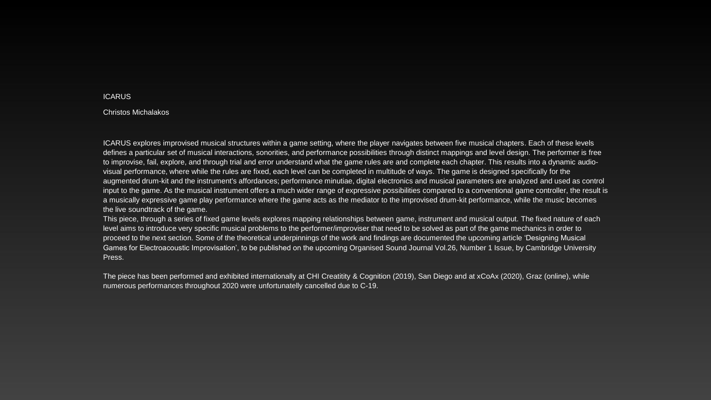#### **ICARUS**

Christos Michalakos

ICARUS explores improvised musical structures within a game setting, where the player navigates between five musical chapters. Each of these levels defines a particular set of musical interactions, sonorities, and performance possibilities through distinct mappings and level design. The performer is free to improvise, fail, explore, and through trial and error understand what the game rules are and complete each chapter. This results into a dynamic audiovisual performance, where while the rules are fixed, each level can be completed in multitude of ways. The game is designed specifically for the augmented drum-kit and the instrument's affordances; performance minutiae, digital electronics and musical parameters are analyzed and used as control input to the game. As the musical instrument offers a much wider range of expressive possibilities compared to a conventional game controller, the result is a musically expressive game play performance where the game acts as the mediator to the improvised drum-kit performance, while the music becomes the live soundtrack of the game.

This piece, through a series of fixed game levels explores mapping relationships between game, instrument and musical output. The fixed nature of each level aims to introduce very specific musical problems to the performer/improviser that need to be solved as part of the game mechanics in order to proceed to the next section. Some of the theoretical underpinnings of the work and findings are documented the upcoming article 'Designing Musical Games for Electroacoustic Improvisation', to be published on the upcoming Organised Sound Journal Vol.26, Number 1 Issue, by Cambridge University Press.

The piece has been performed and exhibited internationally at CHI Creatitity & Cognition (2019), San Diego and at xCoAx (2020), Graz (online), while numerous performances throughout 2020 were unfortunatelly cancelled due to C-19.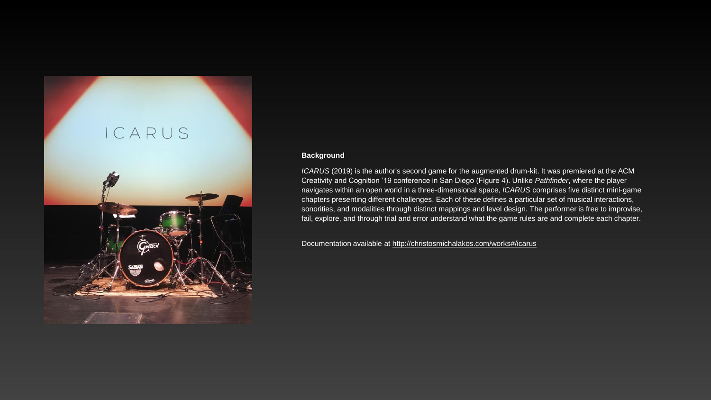

## **Background**

*ICARUS* (2019) is the author's second game for the augmented drum-kit. It was premiered at the ACM Creativity and Cognition '19 conference in San Diego (Figure 4). Unlike *Pathfinder*, where the player navigates within an open world in a three-dimensional space, *ICARUS* comprises five distinct mini-game chapters presenting different challenges. Each of these defines a particular set of musical interactions, sonorities, and modalities through distinct mappings and level design. The performer is free to improvise, fail, explore, and through trial and error understand what the game rules are and complete each chapter.

Documentation available at [http://christosmichalakos.com/works#/icarus](http://christosmichalakos.com/works#/icarus/)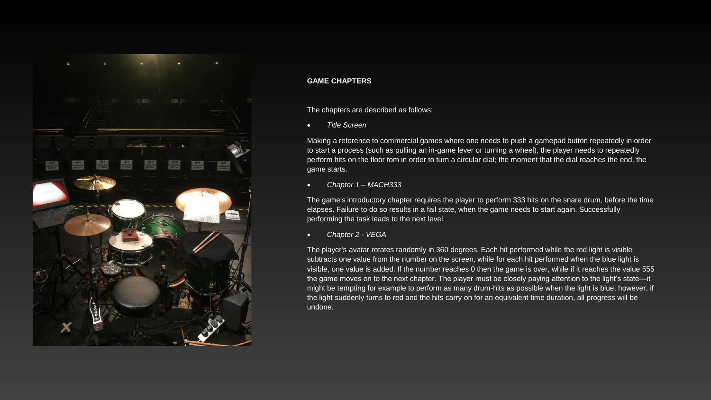

### **GAME CHAPTERS**

## The chapters are described as follows:

• *Title Screen*

Making a reference to commercial games where one needs to push a gamepad button repeatedly in order to start a process (such as pulling an in-game lever or turning a wheel), the player needs to repeatedly perform hits on the floor tom in order to turn a circular dial; the moment that the dial reaches the end, the game starts.

• *Chapter 1 – MACH333*

The game's introductory chapter requires the player to perform 333 hits on the snare drum, before the time elapses. Failure to do so results in a fail state, when the game needs to start again. Successfully performing the task leads to the next level.

• *Chapter 2 - VEGA*

The player's avatar rotates randomly in 360 degrees. Each hit performed while the red light is visible subtracts one value from the number on the screen, while for each hit performed when the blue light is visible, one value is added. If the number reaches 0 then the game is over, while if it reaches the value 555 the game moves on to the next chapter. The player must be closely paying attention to the light's state—it might be tempting for example to perform as many drum-hits as possible when the light is blue, however, if the light suddenly turns to red and the hits carry on for an equivalent time duration, all progress will be undone.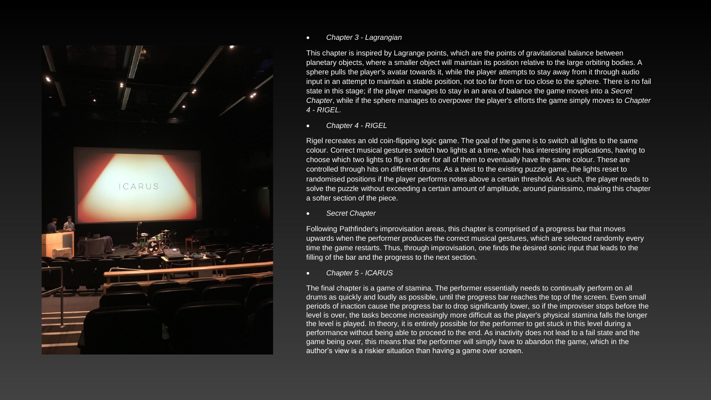

• *Chapter 3 - Lagrangian*

This chapter is inspired by Lagrange points, which are the points of gravitational balance between planetary objects, where a smaller object will maintain its position relative to the large orbiting bodies. A sphere pulls the player's avatar towards it, while the player attempts to stay away from it through audio input in an attempt to maintain a stable position, not too far from or too close to the sphere. There is no fail state in this stage; if the player manages to stay in an area of balance the game moves into a *Secret Chapter*, while if the sphere manages to overpower the player's efforts the game simply moves to *Chapter 4 - RIGEL*.

• *Chapter 4 - RIGEL*

Rigel recreates an old coin-flipping logic game. The goal of the game is to switch all lights to the same colour. Correct musical gestures switch two lights at a time, which has interesting implications, having to choose which two lights to flip in order for all of them to eventually have the same colour. These are controlled through hits on different drums. As a twist to the existing puzzle game, the lights reset to randomised positions if the player performs notes above a certain threshold. As such, the player needs to solve the puzzle without exceeding a certain amount of amplitude, around pianissimo, making this chapter a softer section of the piece.

• *Secret Chapter*

Following Pathfinder's improvisation areas, this chapter is comprised of a progress bar that moves upwards when the performer produces the correct musical gestures, which are selected randomly every time the game restarts. Thus, through improvisation, one finds the desired sonic input that leads to the filling of the bar and the progress to the next section.

• *Chapter 5 - ICARUS*

The final chapter is a game of stamina. The performer essentially needs to continually perform on all drums as quickly and loudly as possible, until the progress bar reaches the top of the screen. Even small periods of inaction cause the progress bar to drop significantly lower, so if the improviser stops before the level is over, the tasks become increasingly more difficult as the player's physical stamina falls the longer the level is played. In theory, it is entirely possible for the performer to get stuck in this level during a performance without being able to proceed to the end. As inactivity does not lead to a fail state and the game being over, this means that the performer will simply have to abandon the game, which in the author's view is a riskier situation than having a game over screen.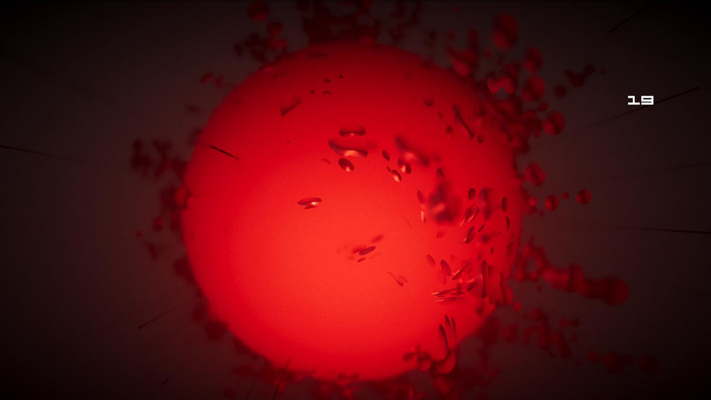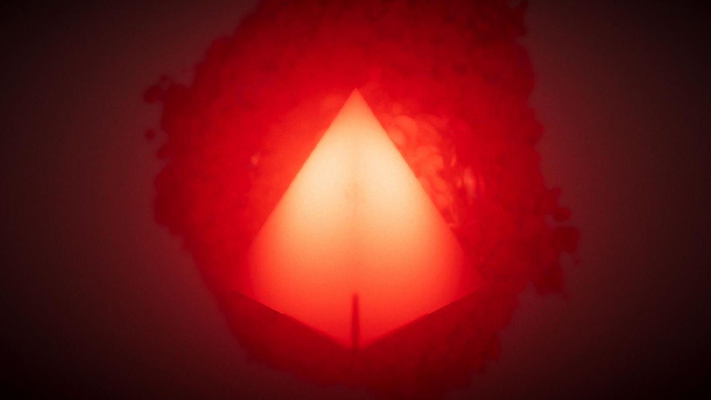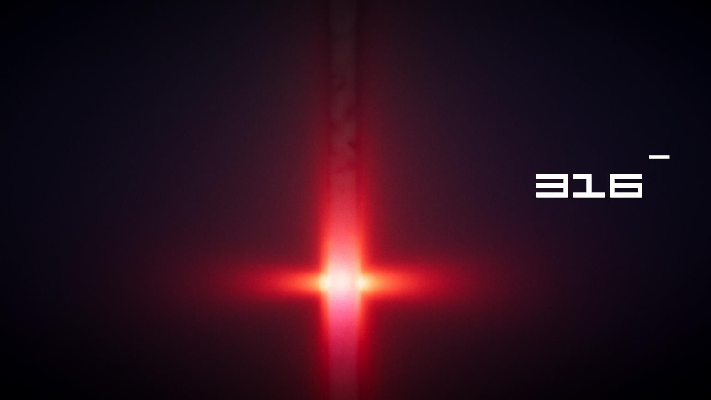